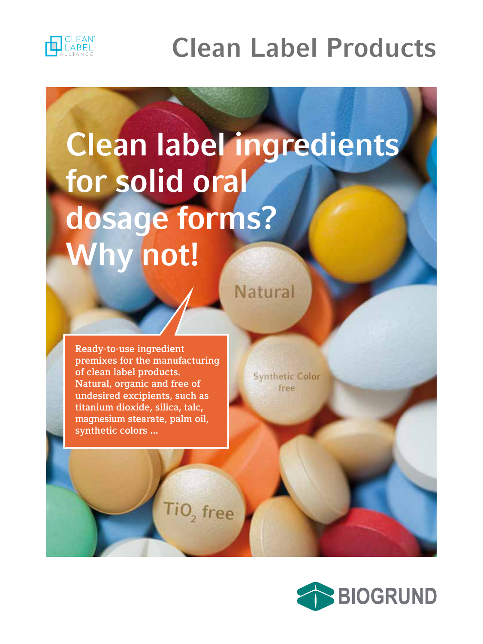

## **Clean Label Products**

# **Clean label ingredients for solid oral dosage forms? Why not!**

**Ready-to-use ingredient premixes for the manufacturing of clean label products. Natural, organic and free of undesired excipients, such as titanium dioxide, silica, talc, magnesium stearate, palm oil, synthetic colors ...**

 $TiO<sub>2</sub>$  free

**Synthetic Color** free

**Natural** 

**BIOGRUND**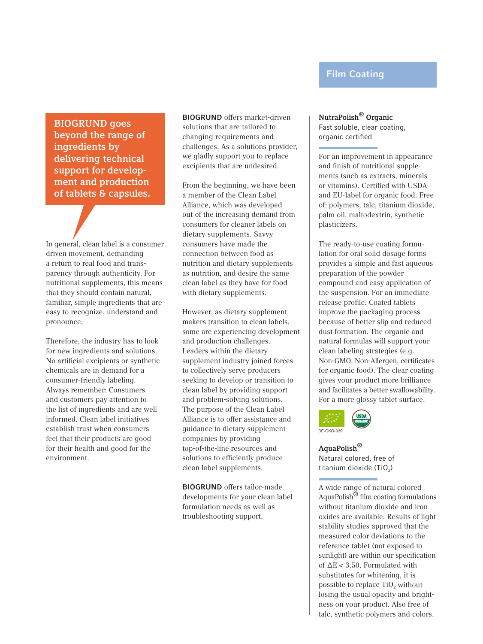### **Film Coating**

**BIOGRUND goes beyond the range of ingredients by delivering technical support for development and production of tablets & capsules.**

In general, clean label is a consumer driven movement, demanding a return to real food and transparency through authenticity. For nutritional supplements, this means that they should contain natural, familiar, simple ingredients that are easy to recognize, understand and pronounce.

Therefore, the industry has to look for new ingredients and solutions. No artificial excipients or synthetic chemicals are in demand for a consumer-friendly labeling. Always remember: Consumers and customers pay attention to the list of ingredients and are well informed. Clean label initiatives establish trust when consumers feel that their products are good for their health and good for the environment.

**BIOGRUND** offers market-driven solutions that are tailored to changing requirements and challenges. As a solutions provider, we gladly support you to replace excipients that are undesired.

From the beginning, we have been a member of the Clean Label Alliance, which was developed out of the increasing demand from consumers for cleaner labels on dietary supplements. Savvy consumers have made the connection between food as nutrition and dietary supplements as nutrition, and desire the same clean label as they have for food with dietary supplements.

However, as dietary supplement makers transition to clean labels, some are experiencing development and production challenges. Leaders within the dietary supplement industry joined forces to collectively serve producers seeking to develop or transition to clean label by providing support and problem-solving solutions. The purpose of the Clean Label Alliance is to offer assistance and guidance to dietary supplement companies by providing top-of-the-line resources and solutions to efficiently produce clean label supplements.

**BIOGRUND** offers tailor-made developments for your clean label formulation needs as well as troubleshooting support.

#### **NutraPolish® Organic** Fast soluble, clear coating,

organic certified For an improvement in appearance and finish of nutritional supplements (such as extracts, minerals or vitamins). Certified with USDA and EU-label for organic food. Free

of: polymers, talc, titanium dioxide, palm oil, maltodextrin, synthetic plasticizers.

The ready-to-use coating formulation for oral solid dosage forms provides a simple and fast aqueous preparation of the powder compound and easy application of the suspension. For an immediate release profile. Coated tablets improve the packaging process because of better slip and reduced dust formation. The organic and natural formulas will support your clean labeling strategies (e.g. Non-GMO, Non-Allergen, certificates for organic food). The clear coating gives your product more brilliance and facilitates a better swallowability. For a more glossy tablet surface.



**AquaPolish®** Natural colored, free of titanium dioxide  $(T_1O_2)$ 

A wide range of natural colored AquaPolish® film coating formulations without titanium dioxide and iron oxides are available. Results of light stability studies approved that the measured color deviations to the reference tablet (not exposed to sunlight) are within our specification of  $\Delta E < 3.50$ . Formulated with substitutes for whitening, it is possible to replace  $TiO<sub>2</sub>$  without losing the usual opacity and brightness on your product. Also free of talc, synthetic polymers and colors.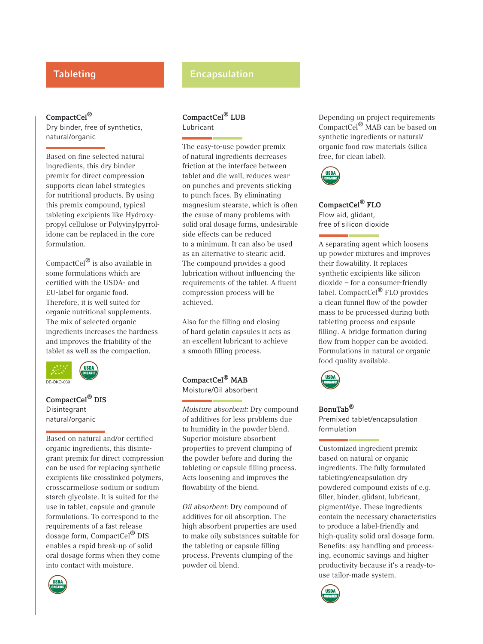#### **CompactCel®**

Dry binder, free of synthetics, natural/organic

Based on fine selected natural ingredients, this dry binder premix for direct compression supports clean label strategies for nutritional products. By using this premix compound, typical tableting excipients like Hydroxypropyl cellulose or Polyvinylpyrrolidone can be replaced in the core formulation.

CompactCel® is also available in some formulations which are certified with the USDA- and EU-label for organic food. Therefore, it is well suited for organic nutritional supplements. The mix of selected organic ingredients increases the hardness and improves the friability of the tablet as well as the compaction.



**CompactCel® DIS** Disintegrant natural/organic

Based on natural and/or certified organic ingredients, this disintegrant premix for direct compression can be used for replacing synthetic excipients like crosslinked polymers, crosscarmellose sodium or sodium starch glycolate. It is suited for the use in tablet, capsule and granule formulations. To correspond to the requirements of a fast release dosage form, CompactCel® DIS enables a rapid break-up of solid oral dosage forms when they come into contact with moisture.



#### **CompactCel® LUB** Lubricant

The easy-to-use powder premix of natural ingredients decreases friction at the interface between tablet and die wall, reduces wear on punches and prevents sticking to punch faces. By eliminating magnesium stearate, which is often the cause of many problems with solid oral dosage forms, undesirable side effects can be reduced to a minimum. It can also be used as an alternative to stearic acid. The compound provides a good lubrication without influencing the requirements of the tablet. A fluent compression process will be achieved.

Also for the filling and closing of hard gelatin capsules it acts as an excellent lubricant to achieve a smooth filling process.

#### **CompactCel® MAB** Moisture/Oil absorbent

Moisture absorbent: Dry compound of additives for less problems due to humidity in the powder blend. Superior moisture absorbent properties to prevent clumping of the powder before and during the tableting or capsule filling process. Acts loosening and improves the flowability of the blend.

Oil absorbent: Dry compound of additives for oil absorption. The high absorbent properties are used to make oily substances suitable for the tableting or capsule filling process. Prevents clumping of the powder oil blend.

Depending on project requirements CompactCel® MAB can be based on synthetic ingredients or natural/ organic food raw materials (silica free, for clean label).



**CompactCel® FLO** Flow aid, glidant, free of silicon dioxide

A separating agent which loosens up powder mixtures and improves their flowability. It replaces synthetic excipients like silicon dioxide – for a consumer-friendly label. CompactCel® FLO provides a clean funnel flow of the powder mass to be processed during both tableting process and capsule filling. A bridge formation during flow from hopper can be avoided. Formulations in natural or organic food quality available.



#### **BonuTab®** Premixed tablet/encapsulation formulation

Customized ingredient premix based on natural or organic ingredients. The fully formulated tableting/encapsulation dry powdered compound exists of e.g. filler, binder, glidant, lubricant, pigment/dye. These ingredients contain the necessary characteristics to produce a label-friendly and high-quality solid oral dosage form. Benefits: asy handling and processing, economic savings and higher productivity because it's a ready-touse tailor-made system.